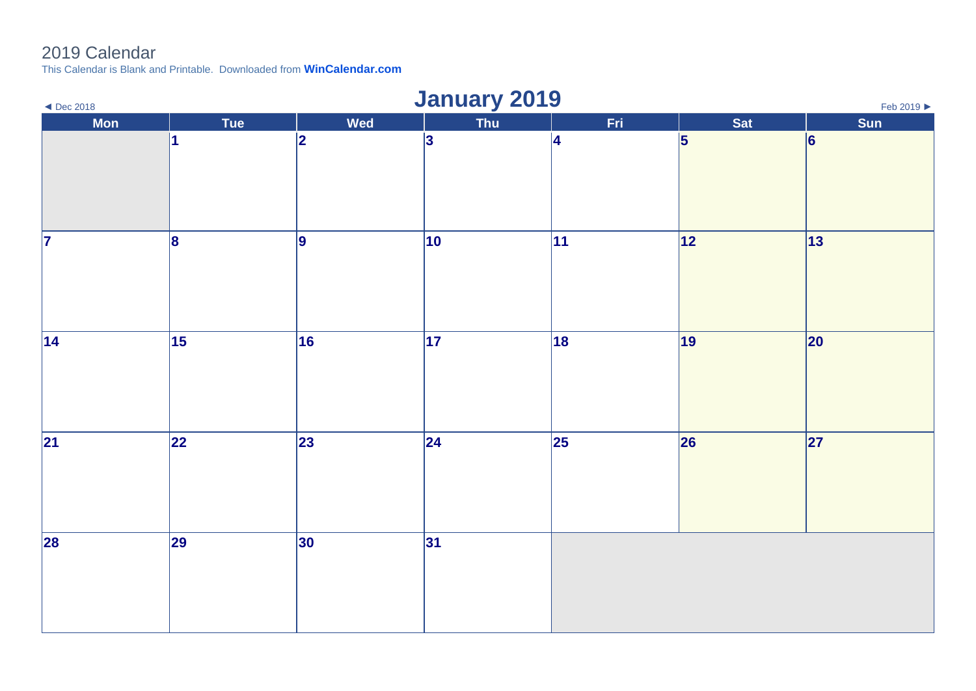## 2019 Calendar

This Calendar is Blank and Printable. Downloaded from **[WinCalendar.com](https://www.wincalendar.com/UK/2020-Word-Calendar)**

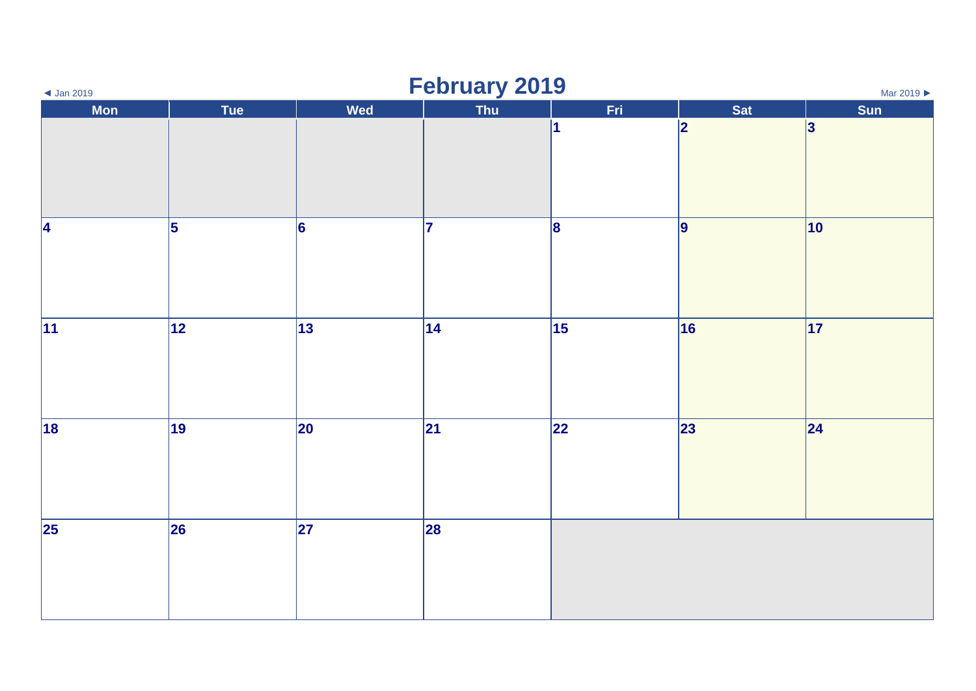| $\triangleleft$ Jan 2019 | <b>February 2019</b><br>Mar 2019 |              |     |                         |     |              |  |  |
|--------------------------|----------------------------------|--------------|-----|-------------------------|-----|--------------|--|--|
| <b>Mon</b>               | Tue                              | <b>Wed</b>   | Thu | Fri                     | Sat | Sun          |  |  |
|                          |                                  |              |     | $\overline{\mathbf{1}}$ | 2   | 3            |  |  |
| 4                        | $\overline{5}$                   | 6            | 17  | 8                       | 9   | $ 10\rangle$ |  |  |
| 11                       | 12                               | $ 13\rangle$ | 14  | 15                      | 16  | $ 17\rangle$ |  |  |
| 18                       | 19                               | 20           | 21  | 22                      | 23  | 24           |  |  |
| 25                       | $\overline{26}$                  | 27           | 28  |                         |     |              |  |  |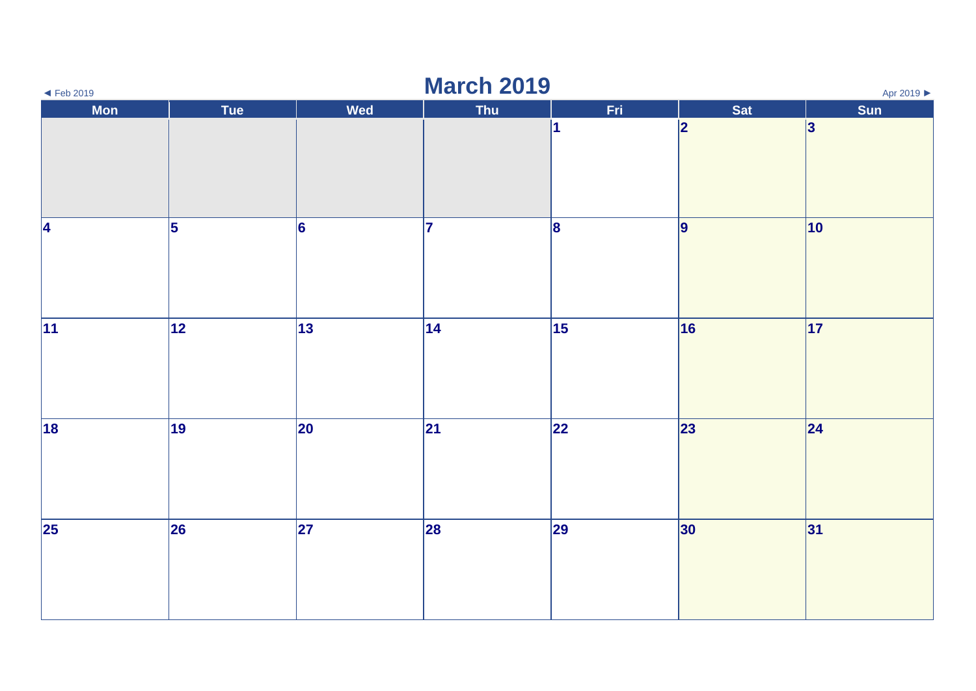| <b>March 2019</b><br>Apr 2019 ▶<br>$\blacktriangleleft$ Feb 2019 |                 |            |              |      |     |              |  |
|------------------------------------------------------------------|-----------------|------------|--------------|------|-----|--------------|--|
| Mon                                                              | Tue             | <b>Wed</b> | Thu          | Fri. | Sat | Sun          |  |
|                                                                  |                 |            |              | 1    | 2   | 3            |  |
| 4                                                                | 5               | 6          | 17           | 8    | 9   | $ 10\rangle$ |  |
| 11                                                               | 12              | 13         | $ 14\rangle$ | 15   | 16  | 17           |  |
| 18                                                               | $\overline{19}$ | 20         | 21           | 22   | 23  | 24           |  |
| $\vert$ 25                                                       | 26              | 27         | 28           | 29   | 30  | 31           |  |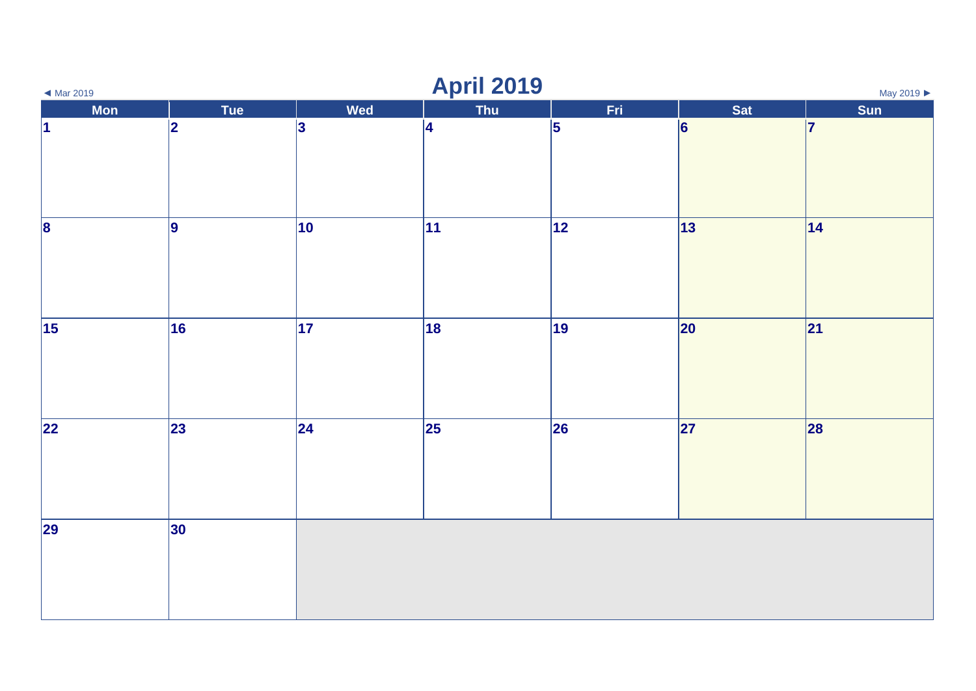| <b>April 2019</b><br>May 2019<br>$\blacktriangleleft$ Mar 2019 |            |     |           |                 |                 |     |  |
|----------------------------------------------------------------|------------|-----|-----------|-----------------|-----------------|-----|--|
| Mon                                                            | Tue        | Wed | Thu       | Fri             | Sat             | Sun |  |
| $\vert$ 1                                                      | 2          | 3   | $\vert 4$ | 5               | $\vert 6 \vert$ | 17  |  |
| $\overline{\mathbf{8}}$                                        | 9          | 10  | 11        | $\overline{12}$ | $\overline{13}$ | 14  |  |
| $\vert$ 15                                                     | 16         | 17  | 18        | 19              | 20              | 21  |  |
| 22                                                             | $\vert$ 23 | 24  | 25        | 26              | 27              | 28  |  |
| 29                                                             | 30         |     |           |                 |                 |     |  |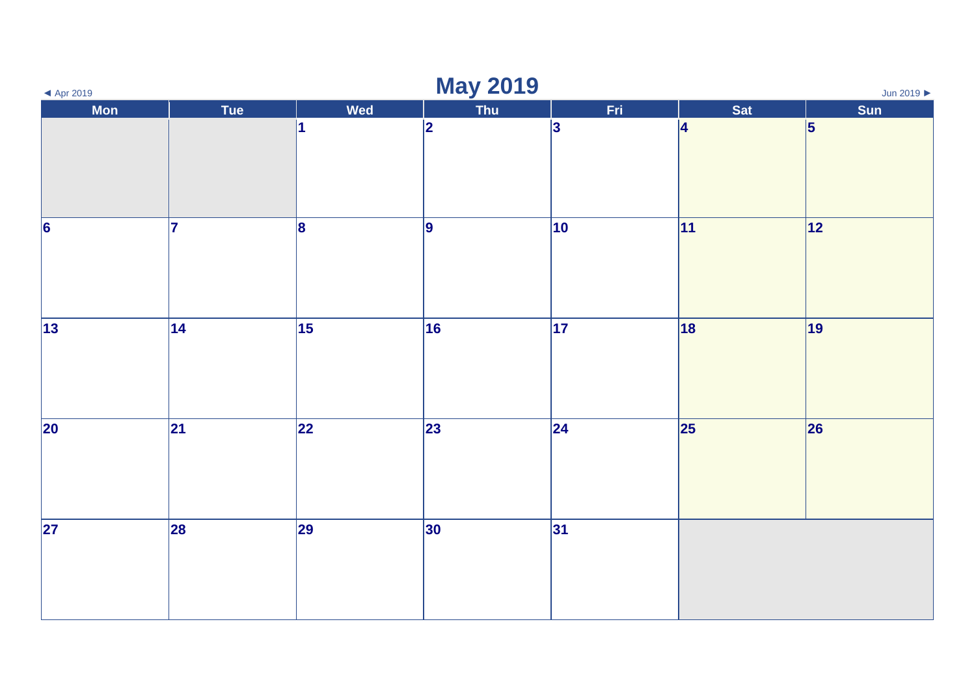| <b>May 2019</b><br>Jun 2019<br>$\blacktriangleleft$ Apr 2019 |                          |                 |     |              |           |     |  |
|--------------------------------------------------------------|--------------------------|-----------------|-----|--------------|-----------|-----|--|
| Mon                                                          | Tue                      | <b>Wed</b>      | Thu | Fri.         | Sat       | Sun |  |
|                                                              |                          | 1               | 2   | 3            | $\vert 4$ | 5   |  |
| $\overline{\mathbf{6}}$                                      | 17                       | 8               | 9   | $ 10\rangle$ | 11        | 12  |  |
| $\sqrt{13}$                                                  | 14                       | 15              | 16  | 17           | 18        | 19  |  |
| $\overline{20}$                                              | $\overline{\mathbf{21}}$ | $\overline{22}$ | 23  | 24           | 25        | 26  |  |
| $\overline{27}$                                              | 28                       | 29              | 30  | 31           |           |     |  |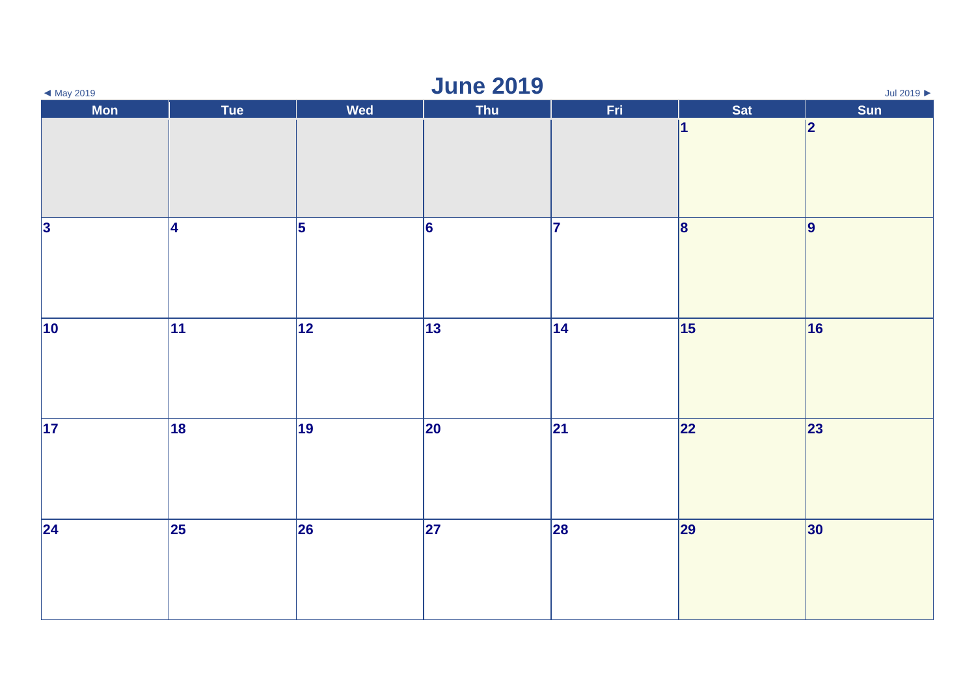| $\blacktriangleleft$ May 2019 | <b>June 2019</b><br>Jul 2019 $\blacktriangleright$ |            |                 |      |              |           |  |  |
|-------------------------------|----------------------------------------------------|------------|-----------------|------|--------------|-----------|--|--|
| Mon                           | Tue                                                | <b>Wed</b> | Thu             | Fri. | Sat<br>1     | Sun<br> 2 |  |  |
|                               |                                                    |            |                 |      |              |           |  |  |
| 3                             |                                                    | $\vert$ 5  |                 | 7    |              |           |  |  |
|                               | 4                                                  |            | $\vert 6 \vert$ |      | $\mathbf{8}$ | 9         |  |  |
| $ 10\rangle$                  | $ 11\rangle$                                       | 12         | 13              | 14   | 15           | 16        |  |  |
| $\overline{17}$               | $\overline{18}$                                    | 19         | 20              | 21   | 22           | 23        |  |  |
| 24                            | $\overline{\mathbf{25}}$                           | 26         | 27              | 28   | 29           | 30        |  |  |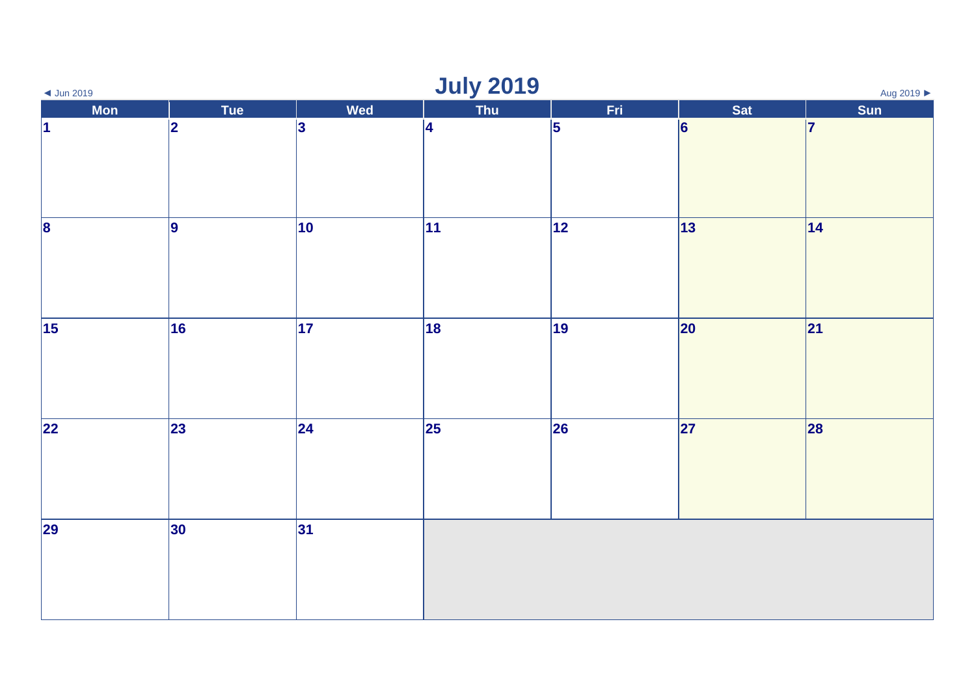| <b>July 2019</b><br>Aug 2019 ▶<br>$\triangleleft$ Jun 2019 |                 |     |                          |                 |                 |     |  |
|------------------------------------------------------------|-----------------|-----|--------------------------|-----------------|-----------------|-----|--|
| <b>Mon</b>                                                 | Tue             | Wed | Thu                      | Fri             | Sat             | Sun |  |
| $\vert$ 1                                                  | 2               | 3   | 4                        | 5               | $\vert 6 \vert$ | 17  |  |
| $\overline{\mathbf{8}}$                                    | 9               | 10  | 11                       | $\overline{12}$ | 13              | 14  |  |
| $\vert$ 15                                                 | 16              | 17  | 18                       | 19              | 20              | 21  |  |
| 22                                                         | $\overline{23}$ | 24  | $\overline{\mathbf{25}}$ | 26              | 27              | 28  |  |
| 29                                                         | $ 30\rangle$    | 31  |                          |                 |                 |     |  |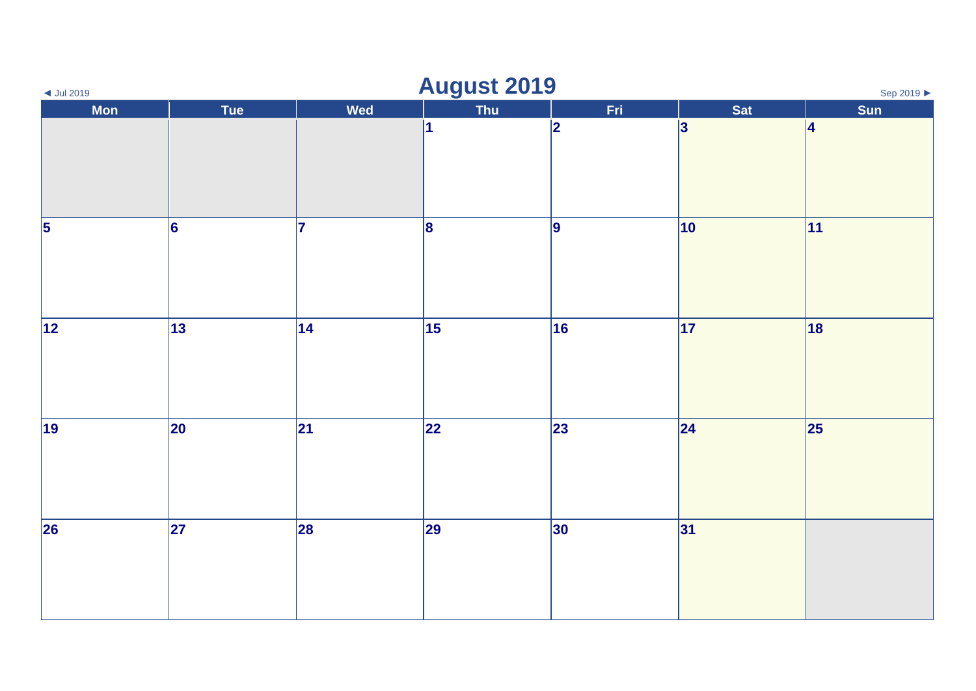| $\blacktriangleleft$ Jul 2019      | <b>August 2019</b><br>Sep 2019 ▶ |     |            |             |              |              |  |  |
|------------------------------------|----------------------------------|-----|------------|-------------|--------------|--------------|--|--|
| Mon                                | Tue                              | Wed | <b>Thu</b> | Fri.        | Sat          | Sun          |  |  |
|                                    |                                  |     | $\vert$ 1  | $ 2\rangle$ | 3            | 4            |  |  |
| $\overline{\overline{\mathbf{5}}}$ | $\overline{6}$                   | 17  | $\vert$ 8  | 9           | $ 10\rangle$ | $ 11\rangle$ |  |  |
| $\overline{12}$                    | 13                               | 14  | 15         | 16          | 17           | 18           |  |  |
| $\sqrt{19}$                        | 20                               | 21  | 22         | 23          | 24           | 25           |  |  |
| $\overline{26}$                    | $\overline{\mathbf{27}}$         | 28  | 29         | 30          | 31           |              |  |  |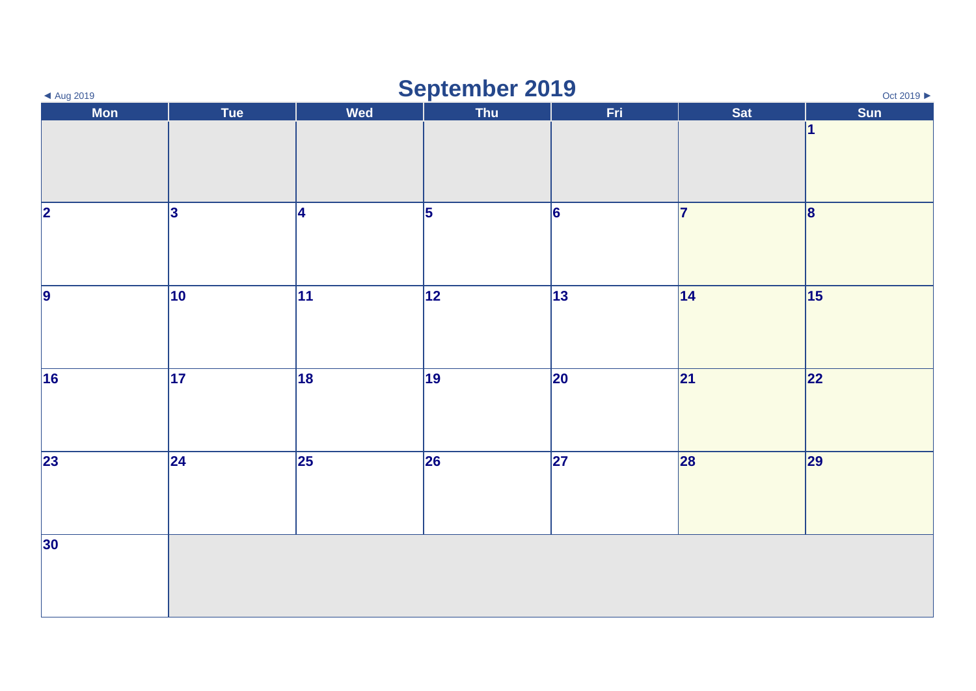| September 2019<br>Oct 2019 ▶<br>◀ Aug 2019 |                 |                          |                 |                          |     |                  |  |
|--------------------------------------------|-----------------|--------------------------|-----------------|--------------------------|-----|------------------|--|
| <b>Mon</b>                                 | Tue             | Wed                      | Thu             | Fri                      | Sat | Sun<br>$\vert$ 1 |  |
|                                            |                 |                          |                 |                          |     |                  |  |
| $\overline{2}$                             | 3               | 4                        | $\vert$ 5       | 6                        | 17  | 8                |  |
| $\overline{9}$                             | 10              | 11                       | $\overline{12}$ | 13                       | 14  | $\overline{15}$  |  |
| 16                                         | 17              | 18                       | 19              | 20                       | 21  | 22               |  |
| $\overline{23}$                            | $\overline{24}$ | $\overline{\mathbf{25}}$ | 26              | $\overline{\mathbf{27}}$ | 28  | 29               |  |
| 30                                         |                 |                          |                 |                          |     |                  |  |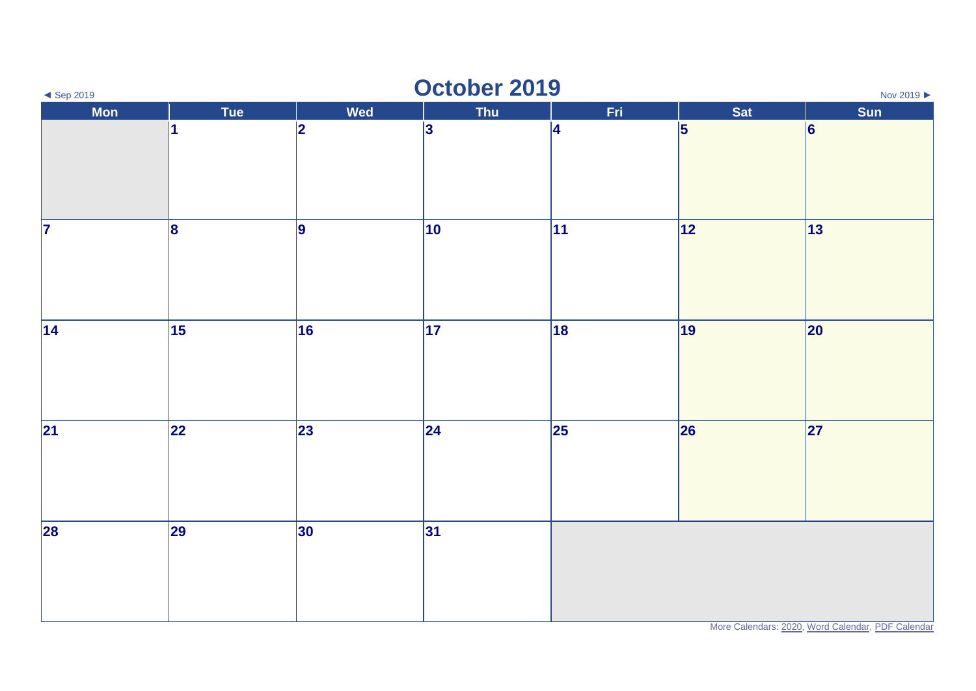| October 2019<br>$\blacktriangleleft$ Sep 2019<br>Nov 2019 |                                        |            |     |     |            |                                                   |  |
|-----------------------------------------------------------|----------------------------------------|------------|-----|-----|------------|---------------------------------------------------|--|
| <b>Mon</b>                                                | Tue                                    | <b>Wed</b> | Thu | Fri | <b>Sat</b> | Sun                                               |  |
|                                                           | 11                                     | 2          | 3   | 4   | 5          | 6                                                 |  |
| $\overline{7}$                                            | $\vert$ 8                              | 9          | 10  | 11  | 12         | 13                                                |  |
| 14                                                        | $\overline{\overline{\hspace{2mm}15}}$ | 16         | 17  | 18  | 19         | 20                                                |  |
| 21                                                        | 22                                     | 23         | 24  | 25  | 26         | 27                                                |  |
| 28                                                        | 29                                     | 30         | 31  |     |            | More Calendars: 2020, Word Calendar, PDF Calendar |  |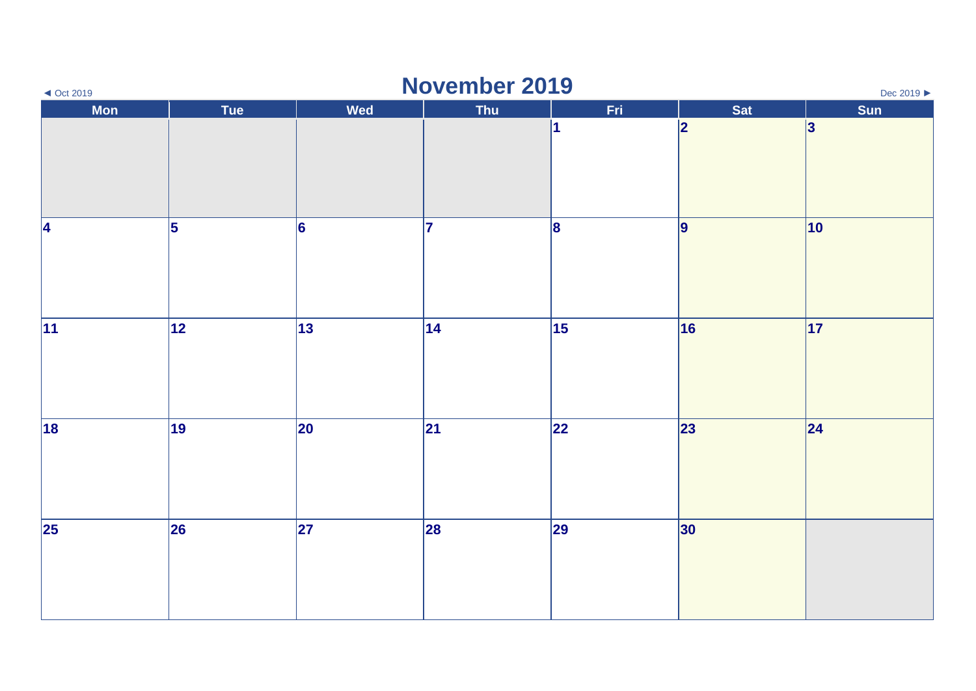| $\triangleleft$ Oct 2019 | November 2019<br>Dec 2019 ▶ |            |            |            |                         |     |  |  |
|--------------------------|-----------------------------|------------|------------|------------|-------------------------|-----|--|--|
| <b>Mon</b>               | Tue                         | <b>Wed</b> | <b>Thu</b> | Fri        | Sat                     | Sun |  |  |
|                          |                             |            |            | 1          | $\overline{\mathbf{2}}$ | 3   |  |  |
| 4                        | 5                           | 6          | 17         | 8          | 9                       | 10  |  |  |
| 11                       | 12                          | 13         | 14         | $\vert$ 15 | 16                      | 17  |  |  |
| 18                       | 19                          | 20         | 21         | 22         | 23                      | 24  |  |  |
| $\vert$ 25               | 26                          | 27         | 28         | 29         | 30                      |     |  |  |